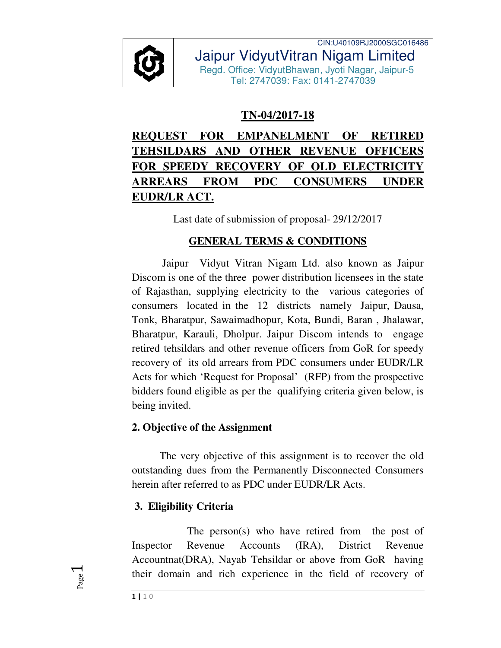

CIN:U40109RJ2000SGC016486 Jaipur VidyutVitran Nigam Limited Regd. Office: VidyutBhawan, Jyoti Nagar, Jaipur-5 Tel: 2747039: Fax: 0141-2747039

## **TN-04/2017-18**

# **REQUEST FOR EMPANELMENT OF RETIRED TEHSILDARS AND OTHER REVENUE OFFICERS FOR SPEEDY RECOVERY OF OLD ELECTRICITY ARREARS FROM PDC CONSUMERS UNDER EUDR/LR ACT.**

Last date of submission of proposal- 29/12/2017

## **GENERAL TERMS & CONDITIONS**

 Jaipur Vidyut Vitran Nigam Ltd. also known as Jaipur Discom is one of the three power distribution licensees in the state of Rajasthan, supplying electricity to the various categories of consumers located in the 12 districts namely Jaipur, Dausa, Tonk, Bharatpur, Sawaimadhopur, Kota, Bundi, Baran , Jhalawar, Bharatpur, Karauli, Dholpur. Jaipur Discom intends to engage retired tehsildars and other revenue officers from GoR for speedy recovery of its old arrears from PDC consumers under EUDR/LR Acts for which 'Request for Proposal' (RFP) from the prospective bidders found eligible as per the qualifying criteria given below, is being invited.

## **2. Objective of the Assignment**

The very objective of this assignment is to recover the old outstanding dues from the Permanently Disconnected Consumers herein after referred to as PDC under EUDR/LR Acts.

## **3. Eligibility Criteria**

 The person(s) who have retired from the post of Inspector Revenue Accounts (IRA), District Revenue Accountnat(DRA), Nayab Tehsildar or above from GoR having their domain and rich experience in the field of recovery of

Page  $\overline{\phantom{0}}$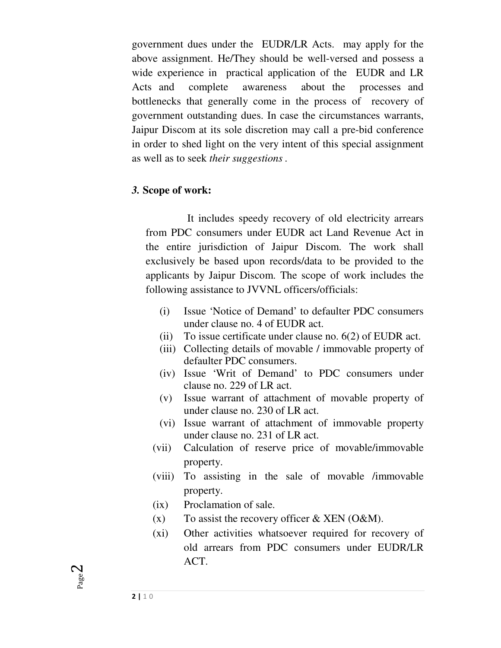government dues under the EUDR/LR Acts. may apply for the above assignment. He/They should be well-versed and possess a wide experience in practical application of the EUDR and LR Acts and complete awareness about the processes and bottlenecks that generally come in the process of recovery of government outstanding dues. In case the circumstances warrants, Jaipur Discom at its sole discretion may call a pre-bid conference in order to shed light on the very intent of this special assignment as well as to seek *their suggestions .* 

#### *3.* **Scope of work:**

It includes speedy recovery of old electricity arrears from PDC consumers under EUDR act Land Revenue Act in the entire jurisdiction of Jaipur Discom. The work shall exclusively be based upon records/data to be provided to the applicants by Jaipur Discom. The scope of work includes the following assistance to JVVNL officers/officials:

- (i) Issue 'Notice of Demand' to defaulter PDC consumers under clause no. 4 of EUDR act.
- (ii) To issue certificate under clause no. 6(2) of EUDR act.
- (iii) Collecting details of movable / immovable property of defaulter PDC consumers.
- (iv) Issue 'Writ of Demand' to PDC consumers under clause no. 229 of LR act.
- (v) Issue warrant of attachment of movable property of under clause no. 230 of LR act.
- (vi) Issue warrant of attachment of immovable property under clause no. 231 of LR act.
- (vii) Calculation of reserve price of movable/immovable property.
- (viii) To assisting in the sale of movable /immovable property.
- (ix) Proclamation of sale.
- (x) To assist the recovery officer  $& XEN$  (O&M).
- (xi) Other activities whatsoever required for recovery of old arrears from PDC consumers under EUDR/LR ACT.

Page  $\boldsymbol{\sim}$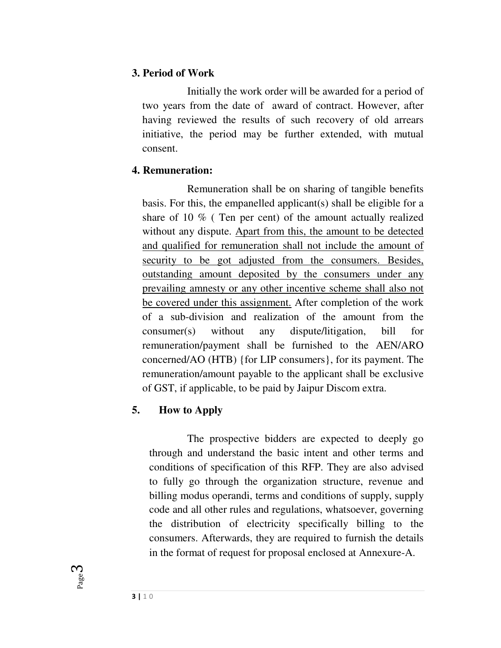#### **3. Period of Work**

 Initially the work order will be awarded for a period of two years from the date of award of contract. However, after having reviewed the results of such recovery of old arrears initiative, the period may be further extended, with mutual consent.

#### **4. Remuneration:**

 Remuneration shall be on sharing of tangible benefits basis. For this, the empanelled applicant(s) shall be eligible for a share of 10 % ( Ten per cent) of the amount actually realized without any dispute. Apart from this, the amount to be detected and qualified for remuneration shall not include the amount of security to be got adjusted from the consumers. Besides, outstanding amount deposited by the consumers under any prevailing amnesty or any other incentive scheme shall also not be covered under this assignment. After completion of the work of a sub-division and realization of the amount from the consumer(s) without any dispute/litigation, bill for remuneration/payment shall be furnished to the AEN/ARO concerned/AO (HTB) {for LIP consumers}, for its payment. The remuneration/amount payable to the applicant shall be exclusive of GST, if applicable, to be paid by Jaipur Discom extra.

### **5. How to Apply**

 The prospective bidders are expected to deeply go through and understand the basic intent and other terms and conditions of specification of this RFP. They are also advised to fully go through the organization structure, revenue and billing modus operandi, terms and conditions of supply, supply code and all other rules and regulations, whatsoever, governing the distribution of electricity specifically billing to the consumers. Afterwards, they are required to furnish the details in the format of request for proposal enclosed at Annexure-A.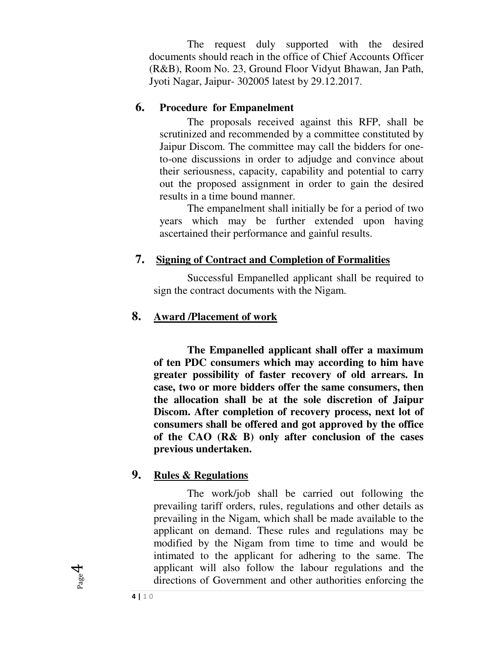The request duly supported with the desired documents should reach in the office of Chief Accounts Officer (R&B), Room No. 23, Ground Floor Vidyut Bhawan, Jan Path, Jyoti Nagar, Jaipur- 302005 latest by 29.12.2017.

#### **6. Procedure for Empanelment**

The proposals received against this RFP, shall be scrutinized and recommended by a committee constituted by Jaipur Discom. The committee may call the bidders for oneto-one discussions in order to adjudge and convince about their seriousness, capacity, capability and potential to carry out the proposed assignment in order to gain the desired results in a time bound manner.

 The empanelment shall initially be for a period of two years which may be further extended upon having ascertained their performance and gainful results.

#### **7. Signing of Contract and Completion of Formalities**

 Successful Empanelled applicant shall be required to sign the contract documents with the Nigam.

#### **8. Award /Placement of work**

 **The Empanelled applicant shall offer a maximum of ten PDC consumers which may according to him have greater possibility of faster recovery of old arrears. In case, two or more bidders offer the same consumers, then the allocation shall be at the sole discretion of Jaipur Discom. After completion of recovery process, next lot of consumers shall be offered and got approved by the office of the CAO (R& B) only after conclusion of the cases previous undertaken.** 

#### **9. Rules & Regulations**

 The work/job shall be carried out following the prevailing tariff orders, rules, regulations and other details as prevailing in the Nigam, which shall be made available to the applicant on demand. These rules and regulations may be modified by the Nigam from time to time and would be intimated to the applicant for adhering to the same. The applicant will also follow the labour regulations and the directions of Government and other authorities enforcing the

Page 4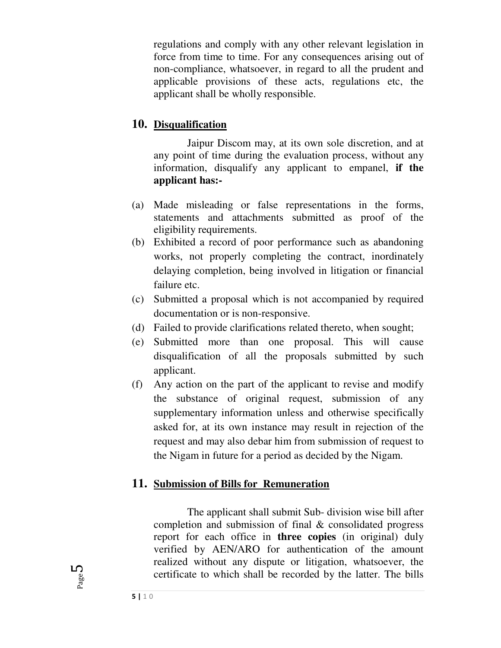regulations and comply with any other relevant legislation in force from time to time. For any consequences arising out of non-compliance, whatsoever, in regard to all the prudent and applicable provisions of these acts, regulations etc, the applicant shall be wholly responsible.

#### **10. Disqualification**

 Jaipur Discom may, at its own sole discretion, and at any point of time during the evaluation process, without any information, disqualify any applicant to empanel, **if the applicant has:-** 

- (a) Made misleading or false representations in the forms, statements and attachments submitted as proof of the eligibility requirements.
- (b) Exhibited a record of poor performance such as abandoning works, not properly completing the contract, inordinately delaying completion, being involved in litigation or financial failure etc.
- (c) Submitted a proposal which is not accompanied by required documentation or is non-responsive.
- (d) Failed to provide clarifications related thereto, when sought;
- (e) Submitted more than one proposal. This will cause disqualification of all the proposals submitted by such applicant.
- (f) Any action on the part of the applicant to revise and modify the substance of original request, submission of any supplementary information unless and otherwise specifically asked for, at its own instance may result in rejection of the request and may also debar him from submission of request to the Nigam in future for a period as decided by the Nigam.

#### **11. Submission of Bills for Remuneration**

 The applicant shall submit Sub- division wise bill after completion and submission of final & consolidated progress report for each office in **three copies** (in original) duly verified by AEN/ARO for authentication of the amount realized without any dispute or litigation, whatsoever, the certificate to which shall be recorded by the latter. The bills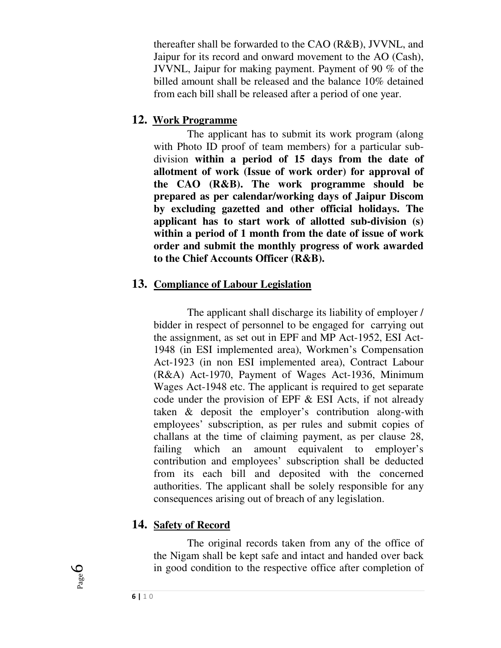thereafter shall be forwarded to the CAO (R&B), JVVNL, and Jaipur for its record and onward movement to the AO (Cash), JVVNL, Jaipur for making payment. Payment of 90 % of the billed amount shall be released and the balance 10% detained from each bill shall be released after a period of one year.

#### **12. Work Programme**

 The applicant has to submit its work program (along with Photo ID proof of team members) for a particular subdivision **within a period of 15 days from the date of allotment of work (Issue of work order) for approval of the CAO (R&B). The work programme should be prepared as per calendar/working days of Jaipur Discom by excluding gazetted and other official holidays. The applicant has to start work of allotted sub-division (s) within a period of 1 month from the date of issue of work order and submit the monthly progress of work awarded to the Chief Accounts Officer (R&B).** 

### **13. Compliance of Labour Legislation**

 The applicant shall discharge its liability of employer / bidder in respect of personnel to be engaged for carrying out the assignment, as set out in EPF and MP Act-1952, ESI Act-1948 (in ESI implemented area), Workmen's Compensation Act-1923 (in non ESI implemented area), Contract Labour (R&A) Act-1970, Payment of Wages Act-1936, Minimum Wages Act-1948 etc. The applicant is required to get separate code under the provision of EPF & ESI Acts, if not already taken & deposit the employer's contribution along-with employees' subscription, as per rules and submit copies of challans at the time of claiming payment, as per clause 28, failing which an amount equivalent to employer's contribution and employees' subscription shall be deducted from its each bill and deposited with the concerned authorities. The applicant shall be solely responsible for any consequences arising out of breach of any legislation.

### **14. Safety of Record**

 The original records taken from any of the office of the Nigam shall be kept safe and intact and handed over back in good condition to the respective office after completion of

Page 6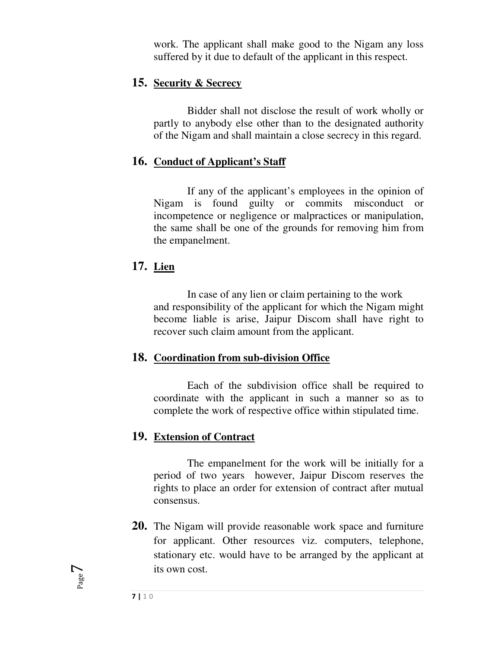work. The applicant shall make good to the Nigam any loss suffered by it due to default of the applicant in this respect.

#### **15. Security & Secrecy**

 Bidder shall not disclose the result of work wholly or partly to anybody else other than to the designated authority of the Nigam and shall maintain a close secrecy in this regard.

#### **16. Conduct of Applicant's Staff**

 If any of the applicant's employees in the opinion of Nigam is found guilty or commits misconduct or incompetence or negligence or malpractices or manipulation, the same shall be one of the grounds for removing him from the empanelment.

#### **17. Lien**

 In case of any lien or claim pertaining to the work and responsibility of the applicant for which the Nigam might become liable is arise, Jaipur Discom shall have right to recover such claim amount from the applicant.

#### **18. Coordination from sub-division Office**

 Each of the subdivision office shall be required to coordinate with the applicant in such a manner so as to complete the work of respective office within stipulated time.

#### **19. Extension of Contract**

 The empanelment for the work will be initially for a period of two years however, Jaipur Discom reserves the rights to place an order for extension of contract after mutual consensus.

**20.** The Nigam will provide reasonable work space and furniture for applicant. Other resources viz. computers, telephone, stationary etc. would have to be arranged by the applicant at its own cost.

Page  $\overline{\phantom{a}}$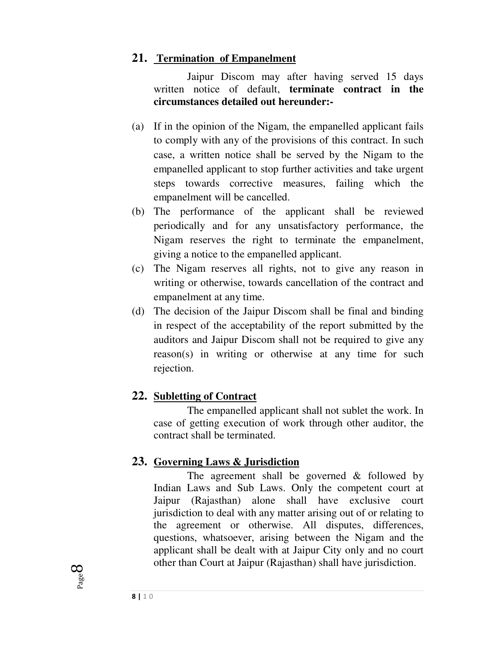## **21. Termination of Empanelment**

 Jaipur Discom may after having served 15 days written notice of default, **terminate contract in the circumstances detailed out hereunder:-** 

- (a) If in the opinion of the Nigam, the empanelled applicant fails to comply with any of the provisions of this contract. In such case, a written notice shall be served by the Nigam to the empanelled applicant to stop further activities and take urgent steps towards corrective measures, failing which the empanelment will be cancelled.
- (b) The performance of the applicant shall be reviewed periodically and for any unsatisfactory performance, the Nigam reserves the right to terminate the empanelment, giving a notice to the empanelled applicant.
- (c) The Nigam reserves all rights, not to give any reason in writing or otherwise, towards cancellation of the contract and empanelment at any time.
- (d) The decision of the Jaipur Discom shall be final and binding in respect of the acceptability of the report submitted by the auditors and Jaipur Discom shall not be required to give any reason(s) in writing or otherwise at any time for such rejection.

### **22. Subletting of Contract**

 The empanelled applicant shall not sublet the work. In case of getting execution of work through other auditor, the contract shall be terminated.

### **23. Governing Laws & Jurisdiction**

 The agreement shall be governed & followed by Indian Laws and Sub Laws. Only the competent court at Jaipur (Rajasthan) alone shall have exclusive court jurisdiction to deal with any matter arising out of or relating to the agreement or otherwise. All disputes, differences, questions, whatsoever, arising between the Nigam and the applicant shall be dealt with at Jaipur City only and no court other than Court at Jaipur (Rajasthan) shall have jurisdiction.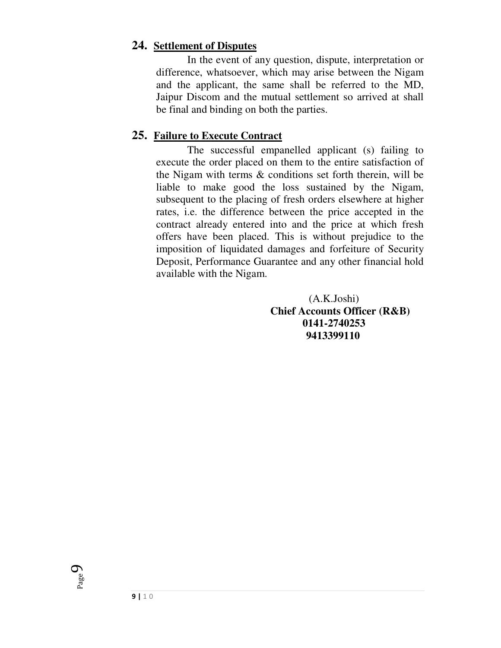#### **24. Settlement of Disputes**

 In the event of any question, dispute, interpretation or difference, whatsoever, which may arise between the Nigam and the applicant, the same shall be referred to the MD, Jaipur Discom and the mutual settlement so arrived at shall be final and binding on both the parties.

### **25. Failure to Execute Contract**

 The successful empanelled applicant (s) failing to execute the order placed on them to the entire satisfaction of the Nigam with terms & conditions set forth therein, will be liable to make good the loss sustained by the Nigam, subsequent to the placing of fresh orders elsewhere at higher rates, i.e. the difference between the price accepted in the contract already entered into and the price at which fresh offers have been placed. This is without prejudice to the imposition of liquidated damages and forfeiture of Security Deposit, Performance Guarantee and any other financial hold available with the Nigam.

> (A.K.Joshi) **Chief Accounts Officer (R&B) 0141-2740253 9413399110**